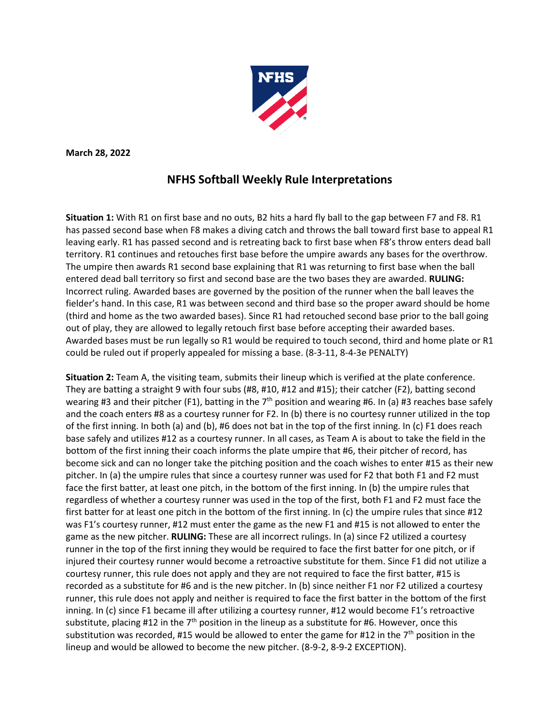

**March 28, 2022**

## **NFHS Softball Weekly Rule Interpretations**

**Situation 1:** With R1 on first base and no outs, B2 hits a hard fly ball to the gap between F7 and F8. R1 has passed second base when F8 makes a diving catch and throws the ball toward first base to appeal R1 leaving early. R1 has passed second and is retreating back to first base when F8's throw enters dead ball territory. R1 continues and retouches first base before the umpire awards any bases for the overthrow. The umpire then awards R1 second base explaining that R1 was returning to first base when the ball entered dead ball territory so first and second base are the two bases they are awarded. **RULING:** Incorrect ruling. Awarded bases are governed by the position of the runner when the ball leaves the fielder's hand. In this case, R1 was between second and third base so the proper award should be home (third and home as the two awarded bases). Since R1 had retouched second base prior to the ball going out of play, they are allowed to legally retouch first base before accepting their awarded bases. Awarded bases must be run legally so R1 would be required to touch second, third and home plate or R1 could be ruled out if properly appealed for missing a base. (8-3-11, 8-4-3e PENALTY)

**Situation 2:** Team A, the visiting team, submits their lineup which is verified at the plate conference. They are batting a straight 9 with four subs (#8, #10, #12 and #15); their catcher (F2), batting second wearing #3 and their pitcher (F1), batting in the 7<sup>th</sup> position and wearing #6. In (a) #3 reaches base safely and the coach enters #8 as a courtesy runner for F2. In (b) there is no courtesy runner utilized in the top of the first inning. In both (a) and (b), #6 does not bat in the top of the first inning. In (c) F1 does reach base safely and utilizes #12 as a courtesy runner. In all cases, as Team A is about to take the field in the bottom of the first inning their coach informs the plate umpire that #6, their pitcher of record, has become sick and can no longer take the pitching position and the coach wishes to enter #15 as their new pitcher. In (a) the umpire rules that since a courtesy runner was used for F2 that both F1 and F2 must face the first batter, at least one pitch, in the bottom of the first inning. In (b) the umpire rules that regardless of whether a courtesy runner was used in the top of the first, both F1 and F2 must face the first batter for at least one pitch in the bottom of the first inning. In (c) the umpire rules that since #12 was F1's courtesy runner, #12 must enter the game as the new F1 and #15 is not allowed to enter the game as the new pitcher. **RULING:** These are all incorrect rulings. In (a) since F2 utilized a courtesy runner in the top of the first inning they would be required to face the first batter for one pitch, or if injured their courtesy runner would become a retroactive substitute for them. Since F1 did not utilize a courtesy runner, this rule does not apply and they are not required to face the first batter, #15 is recorded as a substitute for #6 and is the new pitcher. In (b) since neither F1 nor F2 utilized a courtesy runner, this rule does not apply and neither is required to face the first batter in the bottom of the first inning. In (c) since F1 became ill after utilizing a courtesy runner, #12 would become F1's retroactive substitute, placing #12 in the  $7<sup>th</sup>$  position in the lineup as a substitute for #6. However, once this substitution was recorded, #15 would be allowed to enter the game for #12 in the  $7<sup>th</sup>$  position in the lineup and would be allowed to become the new pitcher. (8-9-2, 8-9-2 EXCEPTION).